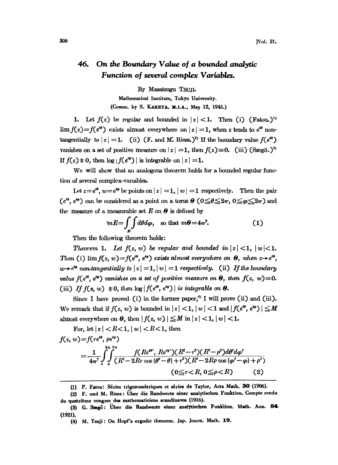## On the Boundary Value of a bounded analytic 46. Function of several complex Variables.

By Masatsugu TSUJI.

Mathematical Institute, Tokyo University. (Comm. by S. KAKEYA, M.I.A., May 12, 1945.)

1. Let  $f(z)$  be regular and bounded in  $|z|<1$ . Then (i) (Fatou.)<sup>1)</sup>  $\lim_{z \to \infty} f(z) = f(e^{i\theta})$  exists almost everywhere on  $|z| = 1$ , when z tends to  $e^{i\theta}$  nontangentially to  $|z| = 1$ . (ii) (F. and M. Riesz.)<sup>2</sup>) If the boundary value  $f(e^{i\theta})$ vanishes on a set of positive measure on  $|z| = 1$ , then  $f(z) \equiv 0$ . (iii) (Szegö.)<sup>3</sup>) If  $f(z) \neq 0$ , then  $\log |f(e^{i\theta})|$  is integrable on  $|z| = 1$ .

We will show that an analogous theorem holds for <sup>a</sup> bounded regular function of several eomplex-varmbles.

Let  $z = e^{i\theta}$ ,  $w = e^{i\phi}$  be points on  $|z| = 1$ ,  $|w| = 1$  respectively. Then the pair  $(e^{i\theta}, e^{i\phi})$  can be considered as a point on a torus  $\theta$   $(0 \le \theta \le 2\pi, 0 \le \phi \le 2\pi)$  and the measure of a measurable set  $E$  on  $\Theta$  is defined by

$$
mE = \int_{E} \int d\theta d\varphi, \quad \text{so that } m\theta = 4\pi^2. \tag{1}
$$

Then the following theorem holds:

Theorem 1. Let  $f(z, w)$  be regular and bounded in  $|z| < 1$ ,  $|w| < 1$ .<br>Then (i) lim  $f(z, w) = f(e^{i\theta}, e^{i\phi})$  exists almost everywhere on  $\Theta$ , when  $z \rightarrow e^{i\theta}$ ,  $w\rightarrow e^{i\phi}$  non-tangentially to  $|z|=1, |w|=1$  respectively. (ii) If the boundary value  $f(e^{i\theta}, e^{i\phi})$  vanishes on a set of positive measure on  $\Theta$ , then  $f(z, w) \equiv 0$ . (iii) If  $f(z, w) \neq 0$ , then  $\log |f(e^{i\theta}, e^{i\varphi})|$  is integrable on  $\Theta$ .

Since I have proved (i) in the former paper,<sup>4</sup> I will prove (ii) and (iii). We remark that if  $f(z, w)$  is bounded in  $|z| < 1$ ,  $|w| < 1$  and  $|f(e^{i\theta}, e^{i\phi})| \le M$ almost everywhere on  $\Theta$ , then  $|f(z, w)| \leq M$  in  $|z| < 1$ ,  $|w| < 1$ .

For, let  $|z| < R < 1$ ,  $|w| < R < 1$ , then

$$
f(z, w) = f(re^{i\theta}, \rho e^{i\varphi})
$$
  
= 
$$
\frac{1}{4\pi^2} \int_{0}^{2\pi} \int_{0}^{2\pi} \frac{f(Re^{i\theta'}, Re^{i\varphi'}) (R^2 - r^2)(R^2 - \rho^2) d\theta' d\varphi'}{(R^2 - 2Rr \cos{(\theta' - \theta)} + r^2)(R^2 - 2R\rho \cos{(\varphi' - \varphi)} + \rho^2)}
$$
  

$$
(0 \le r < R, 0 \le \rho < R)
$$
 (2)

<sup>(1)</sup> P. Fatou: Séries trigonométriques et séries de Taylor, Acta Math. 30 (1906).

<sup>(2)</sup> F. und M. Riesz: Uber die Randwerte einer analytischen Funktion. Compte rendu du quatrième congres des mathematiciens scandinaves (1916).

<sup>(3)</sup> G. Szegö: Über die Randwerte einer analytischen Funktion. Math. Ann. 84 (1921),

<sup>(4)</sup> M. Tsuji: On Hopf's ergodic theorem. Jap. Journ. Math. 19.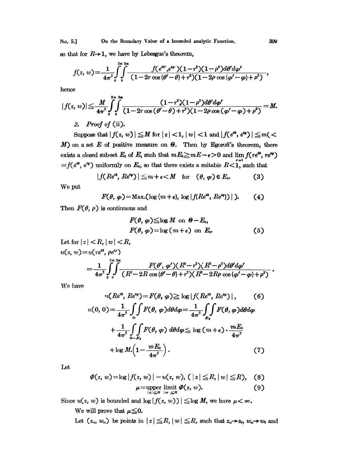No. 5.] On the Boundary Value of a bounded analytic Function. 309

so that for  $R\rightarrow 1$ , we have by Lebesgue's theorem,

$$
f(z, w) = \frac{1}{4\pi^2} \int_0^{2\pi} \int_0^{2\pi} \frac{f(e^{i\theta}, e^{i\varphi}) (1-r^2)(1-\rho^2) d\theta' d\varphi'}{(1-2r\cos{(\theta'-\theta)}+r^2)(1-2\rho\cos{(\varphi'-\varphi)}+\rho^2)},
$$

hence

$$
|f(z, w)| \leq \frac{M}{4\pi^2} \int_0^{2\pi} \int_0^{2\pi} \frac{(1-r^2)(1-\rho^2)d\theta' d\varphi'}{(1-2r\cos{(\theta'-\theta)}+r^2)(1-2\rho\cos{(\varphi'-\varphi)}+\rho^2)} = M.
$$
  
2. Proof of (ii).

Suppose that  $|f(z, w)| \le M$  for  $|z| < 1$ ,  $|w| < 1$  and  $|f(e^{i\theta}, e^{i\varphi})| \le m < M$ ) on a set  $E$  of positive measure on  $\theta$ . Then by Egorofi's theorem, there exists a closed sub-set  $E_0$  of  $E$ , such that  $mE_0 \ge mE - \epsilon > 0$  and  $=f(e^{i\theta}, e^{i\varphi})$  uniformly on  $E_0$ , so that there exists a suitable  $R<1$ , such that

$$
|f(Re^{i\theta}, Re^{i\varphi})| \leq m + \epsilon < M \quad \text{for} \quad (\theta, \varphi) \in E_0.
$$
 (3)

We put

$$
F(\theta, \varphi) = \text{Max.}(\log(m+\epsilon), \log |f(Re^{i\theta}, Re^{i\varphi}))|).
$$
 (4)

Then  $F(\theta, \rho)$  is continuous and

$$
F(\theta, \varphi) \leq \log M \text{ on } \theta - E_0,
$$
  
 
$$
F(\theta, \varphi) = \log (m + \epsilon) \text{ on } E_0.
$$
 (5)

Let for  $|z| < R$ ,  $|w| < R$ ,  $u(z, w) = u(re^{i\theta}, \rho e^{i\rho})$  $\frac{1}{4\pi^2}\int_0^1\int\frac{F(\theta',\,\varphi') (R^2-r^2)(R^2-\rho^2)d\theta'd\varphi'}{(R^2-2R\cos{(\theta'-\theta)}+r^2)(R^2-2R\rho\cos{(\varphi'-\varphi)}+\rho^2)}$ 

We have

$$
u(Re^{i\theta}, Re^{i\varphi}) = F(\theta, \varphi) \ge \log |f(Re^{i\theta}, Re^{i\varphi})|, \qquad (6)
$$
  

$$
u(0, 0) = \frac{1}{4\pi^2} \int_{0}^{\infty} F(\theta, \varphi) d\theta d\varphi = \frac{1}{4\pi^2} \int_{E_{\theta}}^{\infty} F(\theta, \varphi) d\theta d\varphi
$$

$$
+ \frac{1}{4\pi^2} \int_{\phi - E_{\theta}}^{\infty} F(\theta, \varphi) d\theta d\varphi \le \log (m + \epsilon) \cdot \frac{mE_0}{4\pi^2}
$$

$$
+ \log M \left(1 - \frac{mE_0}{4\pi^2}\right). \tag{7}
$$

Let

$$
\varPhi(z, w) = \log |f(z, w)| - u(z, w), (|z| \leq R, |w| \leq R), \quad (8)
$$
  

$$
\mu = \underset{|z| \leq R}{\text{upper limit }} \varPhi(z, w). \quad (9)
$$

Since  $u(z, w)$  is bounded and  $\log |f(z, w)| \leq \log M$ , we have  $\mu < \infty$ .

We will prove that  $\mu \leq 0$ .

Let  $(z_n, w_n)$  be points in  $|z| \leq R$ ,  $|w| \leq R$ , such that  $z_n \to z_0$ ,  $w_n \to w_0$  and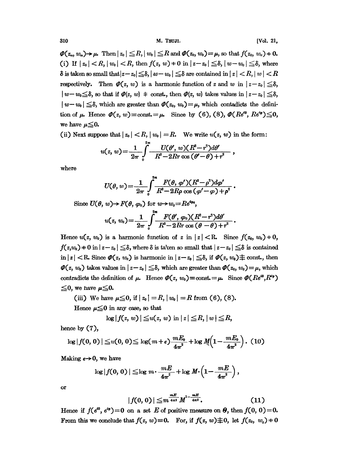$\mathbf{\Phi}(z_n, w_n) \rightarrow \mu$ . Then  $|z_0| \leq R$ ,  $|w_0| \leq R$  and  $\mathbf{\Phi}(z_0, w_0) = \mu$ , so that  $f(z_0, w_0) \rightarrow 0$ . (i) If  $|z_0| < R$ ,  $|w_0| < R$ , then  $f(z, w) \neq 0$  in  $|z - z_0| \leq \delta$ ,  $|w - w_0| \leq \delta$ , where  $\delta$  is taken so small that  $|z-z_0| \leq \delta$ ,  $|w-w_0| \leq \delta$  are contained in  $|z| < R$ ,  $|w| < R$ respectively. Then  $\mathcal{P}(z, w)$  is a harmonic function of z and w in  $|z-z_0| \leq \delta$ ,  $|w-w_0 \leq \delta$ , so that if  $\varPhi(z, w) \neq \text{const.}$ , then  $\varPhi(z, w)$  takes values in  $|z-z_0| \leq \delta$ ,  $|w-w_0| \leq \delta$ , which are greater than  $\mathcal{O}(z_0, w_0) = \mu$ , which contadicts the definition of  $\mu$ . Hence  $\mathcal{P}(z, w) \equiv \text{const.} = \mu$ . Since by (6), (8),  $\mathcal{P}(Re^{i\theta}, Re^{i\phi}) \leq 0$ , we have  $\mu \leq 0$ .

(ii) Next suppose that  $|z_0| < R$ ,  $|w_0| = R$ . We write  $u(z, w)$  in the form:

$$
u(z, w) = \frac{1}{2\pi} \int_{0}^{z\pi} \frac{U(\theta', w)(R^2-r^2)d\theta'}{R^2-2Rr\cos(\theta'-\theta)+r^2},
$$

where

$$
U(\theta, w) = \frac{1}{2\pi} \int_{0}^{2\pi} \frac{F(\theta, \varphi') (R^2 - \rho^2) d\varphi'}{R^2 - 2R\rho \cos{(\varphi' - \varphi)} + \rho^2}
$$

Since  $U(\theta, w) \to F(\theta, \varphi_0)$  for  $w \to w_0 = Re^{4\varphi_0}$ ,

$$
u(z, w_0) = \frac{1}{2\pi} \int_{0}^{\infty} \frac{F(\theta', \varphi_0)(R^2-r^2)d\theta'}{R^2-2Rr\cos(\theta-\theta)+r^2}.
$$

Hence  $u(z, w_0)$  is a harmonic function of z in  $|z| < R$ . Since  $f(z_0, w_0) = 0$ ,  $f(z, w_0) + 0$  in  $|z - z_0| \leq \delta$ , where  $\delta$  is taken so small that  $|z - z_0| \leq \delta$  is contained in  $|z| < R$ . Since  $\mathcal{O}(z, w_0)$  is harmonic in  $|z-z_0| \leq \delta$ , if  $\mathcal{O}(z, w_0) \neq \text{const.}$ , then  $\mathcal{P}(z, w_0)$  takes values in  $|z-z_0| \leq \delta$ , which are greater than  $\mathcal{P}(z_0, w_0) = \mu$ , which contradicts the definition of  $\mu$ . Hence  $\mathcal{P}(z, w_0) \equiv \text{const.} = \mu$ . Since  $\mathcal{P}(Re^{i\theta}, R^{i\phi})$  $\leq$ 0, we have  $\mu \leq 0$ .

(iii) We have  $\mu \leq 0$ , if  $|z_0| = R$ ,  $|w_0| = R$  from (6), (8).

Hence  $\mu \leq 0$  in any case, so that

$$
\log |f(z, w)| \leqq u(z, w) \text{ in } |z| \leqq R, |w| \leqq R,
$$

hence by  $(7)$ ,

$$
\log |f(0,0)| \leqq u(0,0) \leqq \log(m+\epsilon) \frac{mE_0}{4\pi^2} + \log M \left(1 - \frac{mE_0}{4\pi^2}\right). (10)
$$

Making  $\epsilon \rightarrow 0$ , we have

$$
\log|f(0,0)| \leq \log m \cdot \frac{mE}{4\pi^2} + \log M \cdot \left(1 - \frac{mE}{4\pi^2}\right),
$$

or

$$
|f(0,0)| \leq m^{\frac{mE}{4\pi^2}} M^{1-\frac{mE}{4\pi^2}}.
$$
 (11)

Hence if  $f(e^{i\theta}, e^{i\varphi}) = 0$  on a set E of positive measure on  $\theta$ , then  $f(0, 0) = 0$ . From this we conclude that  $f(z, w) \equiv 0$ . For, if  $f(z, w) \not\equiv 0$ , let  $f(z_0, w_0) \neq 0$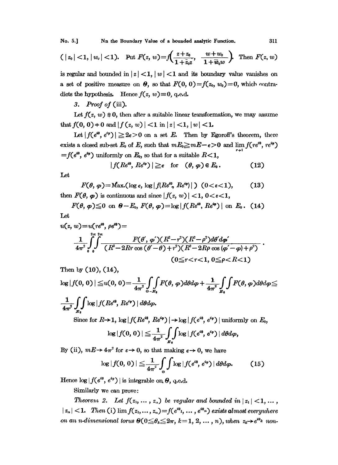No. 5.1 Nn the Boundary Value of a bounded analytic Function.

$$
(|z_0|<1, |w_0|<1)
$$
. Put  $F(z, w) = f\left(\frac{z+z_0}{1+\tilde{z}_0z}, \frac{w+w_0}{1+\tilde{w}_0w}\right)$ . Then  $F(z, w)$ 

is regular and bounded in  $|z| < 1$ ,  $|w| < 1$  and its boundary value vanishes on a set of positive measure on  $\Theta$ , so that  $F(0, 0) = f(z_0, w_0) = 0$ , which contradicts the hypothesis. Hence  $f(z, w) \equiv 0$ , q.e.d.

3. Proof of  $(iii)$ .

Let  $f(z, w) \neq 0$ , then after a suitable linear transformation, we may assume that  $f(0, 0) = 0$  and  $|f(z, w)| < 1$  in  $|z| < 1$ ,  $|w| < 1$ .

Let  $|f(e^{i\theta}, e^{i\varphi})| \geq 2\epsilon > 0$  on a set E. Then by Egoroff's theorem, there exists a closed sub-set  $E_0$  of E, such that  $mE_0 \ge mE - \epsilon > 0$  and  $\lim f(re^{i\theta}, re^{i\phi})$ = $f(e^{i\theta}, e^{i\varphi})$  uniformly on  $E_0$ , so that for a suitable  $R<1$ ,

$$
|f(Re^{i\theta}, Re^{i\varphi})| \geq \epsilon \quad \text{for} \quad (\theta, \varphi) \in E_0. \tag{12}
$$

Let

$$
F(\theta, \varphi) = \text{Max.}(\log \epsilon, \log |f(Re^{i\theta}, Re^{i\phi})|) \quad (0 < \epsilon < 1), \tag{13}
$$

then  $F(\theta, \varphi)$  is continuous and since  $|f(z, w)| < 1, 0 < \varepsilon < 1$ ,

$$
F(\theta, \varphi) \leq 0 \text{ on } \theta - E_0, F(\theta, \varphi) = \log |f(Re^{i\theta}, Re^{i\varphi})| \text{ on } E_0. \quad (14)
$$

Let

$$
u(z, w) = u(re^{i\theta}, \rho e^{i\theta}) =
$$
  

$$
\frac{1}{4\pi^2} \int_0^{2\pi} \int_0^{2\pi} \frac{F(\theta', \varphi') (R^2 - r^2)(R^2 - \rho^2) d\theta' d\varphi'}{(R^2 - 2Rr \cos{(\theta' - \theta)} + r^2)(R^2 - 2R\rho \cos{(\varphi' - \varphi)} + \rho^2)}.
$$
  

$$
(0 \le r < r < 1, 0 \le \rho < R < 1)
$$

Then by  $(10)$ ,  $(14)$ ,

$$
\log |f(0,0)| \leq u(0,0) = \frac{1}{4\pi^2} \iint_{\Theta-E_0} F(\theta,\varphi) d\theta d\varphi + \frac{1}{4\pi^2} \iint_{E_0} F(\theta,\varphi) d\theta d\varphi \leq
$$
  

$$
\frac{1}{4\pi^2} \iint_{E_0} \log |f(Re^{i\theta}, Re^{i\varphi})| d\theta d\varphi.
$$

Since for  $R\rightarrow 1$ ,  $\log|f(Re^{i\theta}, Re^{i\phi})| \rightarrow \log|f(e^{i\theta}, e^{i\phi})|$  uniformly on  $E_0$ ,

$$
\log|f(0,0)| \leqq \frac{1}{4\pi^2} \int_{\mathbb{F}_0} \int \log|f(e^{i\theta}, e^{i\varphi})| d\theta d\varphi,
$$

By (ii),  $mE \rightarrow 4\pi^2$  for  $\epsilon \rightarrow 0$ , so that making  $\epsilon \rightarrow 0$ , we have

$$
\log|f(0,0)| \leqq \frac{1}{4\pi^2} \int_{0}^{\infty} \int \log|f(e^{i\theta},e^{i\varphi})| d\theta d\varphi. \qquad (15)
$$

Hence  $\log|f(e^{i\theta}, e^{i\varphi})|$  is integrable on  $\Theta$ , q.e.d.

Similarly we can prove:

Theorem 2. Let  $f(z_1, ..., z_n)$  be regular and bounded in  $|z_1| < 1, ...$ ,  $|z_n| < 1$ . Then (i)  $\lim_{n \to \infty} f(z_1, \dots, z_n) = f(e^{i\theta_1}, \dots, e^{i\theta_n})$  exists almost everywhere on an n-dimensional torus  $\Theta(0 \leq \theta_k \leq 2\pi, k=1, 2, ..., n)$ , when  $z_k \rightarrow e^{i\theta_k}$  non-